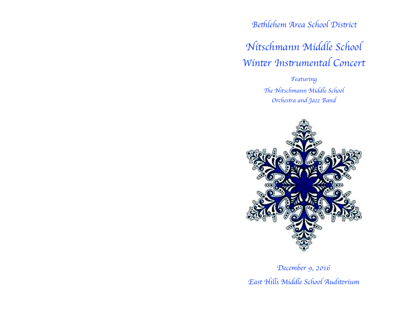*Be*t*lehem Area School Dis*t*ict*

# *Nitschmann Middle School Win*t*r Ins*t*umental Concert*

*Featuring* The Nitschmann Middle School *Orches*t*a and Jazz Band*



*December 9, 2016 East Hi*l*s Middle School Audi*t*rium*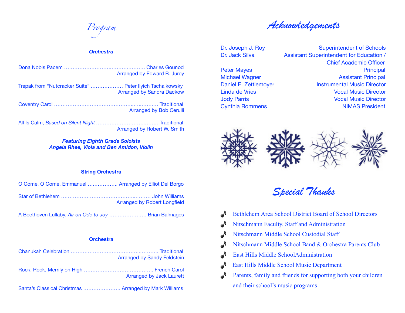# *Program*

# *Orchestra*

|                                                           | Arranged by Edward B. Jurey      |
|-----------------------------------------------------------|----------------------------------|
| Trepak from "Nutcracker Suite"  Peter Ilyich Tschaikowsky |                                  |
|                                                           | <b>Arranged by Sandra Dackow</b> |
|                                                           |                                  |
|                                                           | <b>Arranged by Bob Cerulli</b>   |
|                                                           |                                  |
|                                                           | Arranged by Robert W. Smith      |

#### *Featuring Eighth Grade Soloists Angela Rhee, Viola and Ben Amidon, Violin*

# **String Orchestra**

| O Come, O Come, Emmanuel  Arranged by Elliot Del Borgo |                              |
|--------------------------------------------------------|------------------------------|
| Star of Bethlehem ……………………………………………… John Williams     | Arranged by Robert Longfield |
|                                                        |                              |

A Beethoven Lullaby, *Air on Ode to Joy* …………………. Brian Balmages

# **Orchestra**

|                                                        | <b>Arranged by Sandy Feldstein</b> |
|--------------------------------------------------------|------------------------------------|
|                                                        |                                    |
|                                                        | <b>Arranged by Jack Laurett</b>    |
| Santa's Classical Christmas  Arranged by Mark Williams |                                    |

# *Acknowledgements*

Dr. Joseph J. Roy **Superintendent of Schools** Dr. Jack Silva Assistant Superintendent for Education / Chief Academic Officer Peter Mayes **Discussion Contract Contract Contract Principal** Michael Wagner **Michael Wagner Assistant Principal** Daniel E. Zettlemoyer **Instrumental Music Director** Linda de Vries Vocal Music Director **Jody Parris Contract Contract Contract Contract Vocal Music Director** Cynthia Rommens **NIMAS** President



*Special Thanks*

- **•** Bethlehem Area School District Board of School Directors
- $\bigwedge$  Nitschmann Faculty, Staff and Administration
- $\bullet$  Nitschmann Middle School Custodial Staff
- Nitschmann Middle School Band & Orchestra Parents Club
- *P* East Hills Middle SchoolAdministration
- East Hills Middle School Music Department
- *Parents, family and friends for supporting both your children* and their school's music programs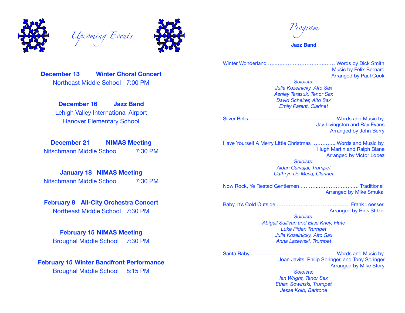

*Upcoming Events*



*Program*

**Jazz Band** 

**December 13 Winter Choral Concert**  Northeast Middle School 7:00 PM

> **December 16 Jazz Band**  Lehigh Valley International Airport Hanover Elementary School

**December 21 NIMAS Meeting**  Nitschmann Middle School 7:30 PM

**January 18 NIMAS Meeting**  Nitschmann Middle School 7:30 PM

**February 8 All-City Orchestra Concert**  Northeast Middle School 7:30 PM

**February 15 NIMAS Meeting** 

Broughal Middle School 7:30 PM

**February 15 Winter Bandfront Performance**  Broughal Middle School 8:15 PM

Winter Wonderland ……………………………………… Words by Dick Smith Music by Felix Bernard Arranged by Paul Cook *Soloists:* 

*Julia Kozelnicky, Alto Sax Ashley Tarasuk, Tenor Sax David Scheirer, Alto Sax Emily Parent, Clarinet* 

Silver Bells ………………………………….……..… Words and Music by Jay Livingston and Ray Evans Arranged by John Berry

Have Yourself A Merry Little Christmas ………….. Words and Music by Hugh Martin and Ralph Blane Arranged by Victor Lopez *Soloists:* 

*Aidan Carvajal, Trumpet Cathryn De Mesa, Clarinet* 

Now Rock, Ye Rested Gentlemen ………..………………..…. Traditional Arranged by Mike Smukal

Baby, It's Cold Outside ………………………………….… Frank Loesser Arranged by Rick Stitzel

> *Soloists: Abigail Sullivan and Elise Kney, Flute Luke Rider, Trumpet Julia Kozelnicky, Alto Sax Anna Lazewski, Trumpet*

Santa Baby …………………………………..……… Words and Music by Joan Javits, Philip Springer, and Tony Springer Arranged by Mike Story *Soloists:* 

*Ian Wright, Tenor Sax Ethan Sowinski, Trumpet Jesse Kolb, Baritone*